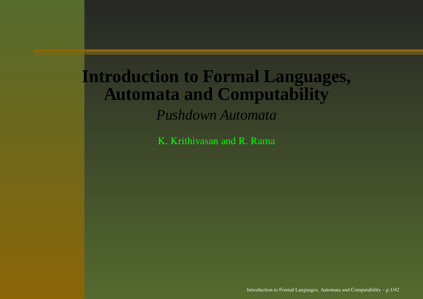#### **Introduction to Formal Languages, Automata and Computability** *Pushdown Automata*

K. Krithivasan and R. Rama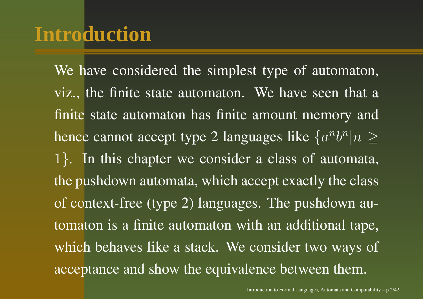## **Introduction**

We have considered the simplest type of automaton, viz., the finite state automaton. We have seen that <sup>a</sup> finite state automaton has finite amount memory and hence cannot accept type 2 languages like  $\{a^nb^n|n\geq 1\}$ <sup>1</sup>}. In this chapter we consider <sup>a</sup> class of automata, the pushdown automata, which accep<sup>t</sup> exactly the class of context-free (type 2) languages. The pushdown automaton is <sup>a</sup> finite automaton with an additional tape, which behaves like <sup>a</sup> stack. We consider two ways of acceptance and show the equivalence between them.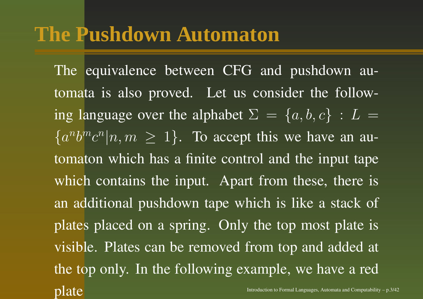## **The Pushdown Automaton**

The equivalence between CFG and pushdown automata is also proved. Let us consider the following language over the alphabet  $\Sigma = \{a, b, c\} : L =$  ${a^n b^m c^n | n, m \geq 1}$ . To accept this we have an automaton which has <sup>a</sup> finite control and the input tape which contains the input. Apart from these, there is an additional pushdown tape which is like <sup>a</sup> stack of plates placed on <sup>a</sup> spring. Only the top most plate is visible. Plates can be removed from top and added at the top only. In the following example, we have <sup>a</sup> red **plate** Introduction to Formal Languages, Automata and Computability – p.3/42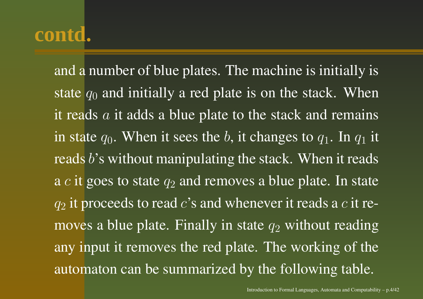and <sup>a</sup> number of blue plates. The machine is initially is state  $q_0$  and initially a red plate is on the stack. When it reads  $a$  it adds a blue plate to the stack and remains in state  $q_0.$  When it sees the  $b,$  it changes to  $q_1.$  In  $q_1$  it reads  $b$ 's without manipulating the stack. When it reads a  $c$  it goes to state  $q_2$  and removes a blue plate. In state  $q_2$  it proceeds to read c's and whenever it reads a c it removes a blue plate. Finally in state  $q_2$  without reading any input it removes the red plate. The working of the automaton can be summarized by the following table.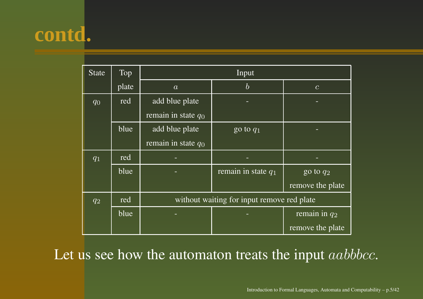| <b>State</b> | Top   | Input                                      |                       |                        |
|--------------|-------|--------------------------------------------|-----------------------|------------------------|
|              | plate | $\boldsymbol{a}$                           | $\boldsymbol{b}$      | $\mathcal{C}$          |
| $q_0$        | red   | add blue plate                             |                       |                        |
|              |       | remain in state $q_0$                      |                       |                        |
|              | blue  | add blue plate                             | go to $q_1$           |                        |
|              |       | remain in state $\overline{q_0}$           |                       |                        |
| $q_1$        | red   |                                            |                       |                        |
|              | blue  |                                            | remain in state $q_1$ | go to $\overline{q_2}$ |
|              |       |                                            |                       | remove the plate       |
| $q_2$        | red   | without waiting for input remove red plate |                       |                        |
|              | blue  |                                            |                       | remain in $q_2$        |
|              |       |                                            |                       | remove the plate       |

Let us see how the automaton treats the input  $aabbbcc.$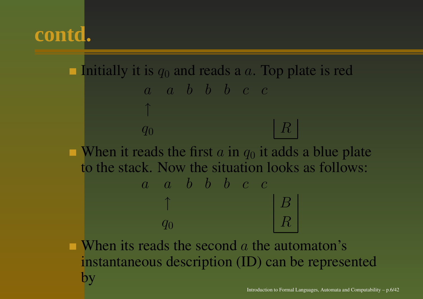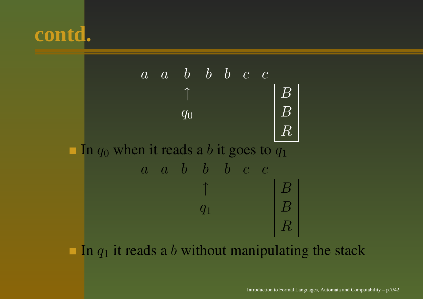



In  $q_1$  it reads a b without manipulating the stack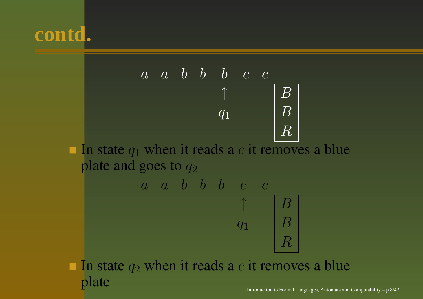



In state  $q_2$  when it reads a c it removes a blue plate Introduction to Formal Languages, Automata and Computability  $- p.8/42$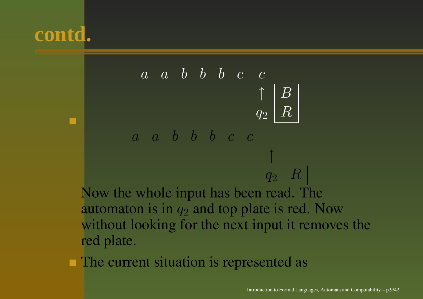

- <mark>r</mark>ed plate.
- The current situation is represented as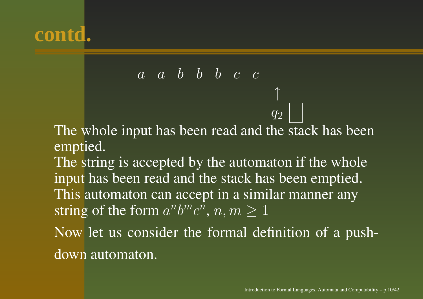

*a a b b b c* 
$$
c
$$
\n\nThe whole input has been read and the stack has been emptied.\nThe string is accepted by the automaton if the whole input has been read and the stack has been emptied. This automaton can accept in a similar manner any string of the form  $a^n b^m c^n$ ,  $n, m \ge 1$ \n\nNow let us consider the formal definition of a push-

down automaton.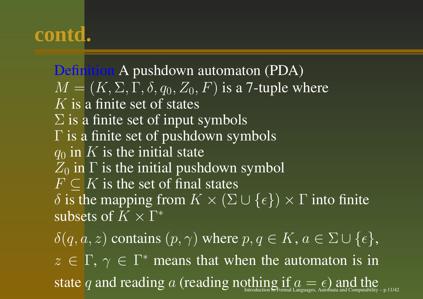Definition A pushdown automaton (PDA)  $M = (K, \Sigma, \Gamma, \delta, q_0, Z_0, F)$  is a 7-tuple where  $K$  is a finite set of states  $\Sigma$  is a finite set of input symbols  $\Gamma$  is a finite set of pushdown symbols  $q_0$  in K is the initial state  $Z_0$  in  $\Gamma$  is the initial pushdown symbol  $F \subseteq K$  is the set of final states  $\delta$  is the mapping from  $K \times (\Sigma \cup \{\epsilon\}) \times \Gamma$  into finite subsets of  $K\times \Gamma^*$  $\delta(q, a, z)$  contains  $(p, \gamma)$  where  $p, q \in K$ ,  $a \in \Sigma \cup \{\epsilon\},$  $z \in \Gamma$ ,  $\gamma \in \Gamma^*$  means that when the automaton is in

 ${\rm state}$   $q$  and reading  $a$  (reading nothing  $\inf_{\rm International\, Languages,\, Automata\, and\,Computability\,-\,p.11/42}$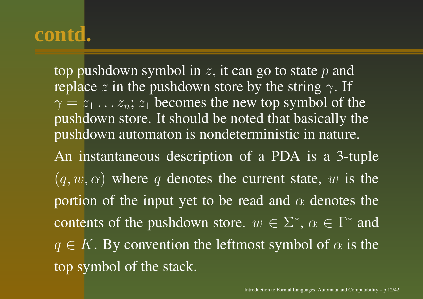top pushdown symbol in z, it can go to state  $p$  and replace z in the pushdown store by the string  $\gamma$ . If  $\gamma = z_1 \dots z_n$ ;  $z_1$  becomes the new top symbol of the pushdown store. It should be noted that basically the pushdown automaton is nondeterministic in nature.

An instantaneous description of <sup>a</sup> PDA is <sup>a</sup> 3-tuple  $(q, w, \alpha)$  where q denotes the current state, w is the portion of the input yet to be read and  $\alpha$  denotes the contents of the pushdown store.  $w \in \Sigma^*, \, \alpha \in \Gamma^*$  and  $q \in K$ . By convention the leftmost symbol of  $\alpha$  is the top symbol of the stack.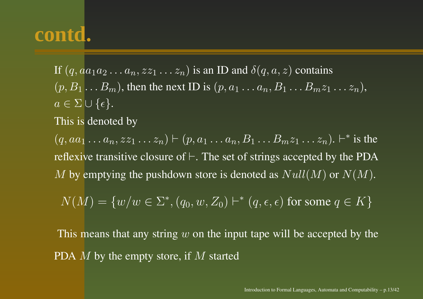If  $(q, a a_1 a_2 \ldots a_n, z z_1 \ldots z_n)$  is an ID and  $\delta(q,a,z)$  contains  $(p, B_1 \ldots B_m)$ , then the next ID is  $(p, a_1 \ldots a_n, B_1 \ldots B_m z_1 \ldots z_n)$ ,  $a\in\Sigma\cup\{\epsilon\}.$ 

This is denoted by

 $(q, aa_1 ... a_n, zz_1 ... z_n) \vdash (p, a_1 ... a_n, B_1 ... B_m z_1 ... z_n). \vdash^*$  is the reflexive transitive closure of  $\vdash.$  The set of strings accepted by the PDA  $M$  by emptying the pushdown store is denoted as  $Null(M)$  or  $N(M)$ .

$$
N(M) = \{w/w \in \Sigma^*, (q_0, w, Z_0) \vdash^* (q, \epsilon, \epsilon) \text{ for some } q \in K\}
$$

This means that any string  $w$  on the input tape will be accepted by the PDA  $M$  by the empty store, if  $M$  started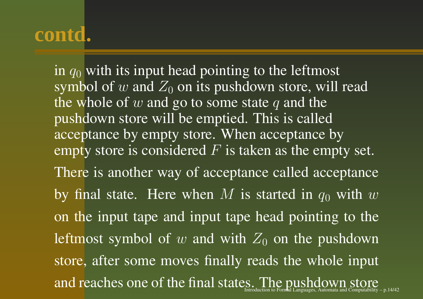in  $q_0$  with its input head pointing to the leftmost symbol of w and  $Z_0$  on its pushdown store, will read the whole of  $w$  and go to some state  $q$  and the pushdown store will be emptied. This is called acceptance by empty store. When acceptance by empty store is considered  $F$  is taken as the empty set. There is another way of acceptance called acceptance by final state. Here when M is started in  $q_0$  with w on the input tape and input tape head pointing to the leftmost symbol of  $w$  and with  $Z_0$  on the pushdown store, after some moves finally reads the whole input and reaches one of the final states. The pushdown store  $\operatorname*{Cone}\limits_{\mathsf{A}}$  $t$ uction to Formal Languages, Automata and Computability – p. 14/42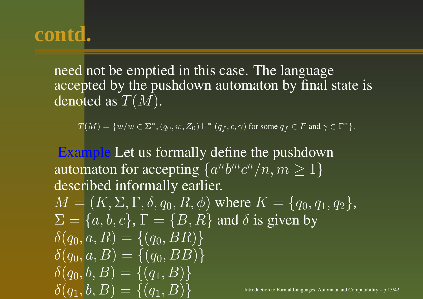need not be emptied in this case. The language accepted by the pushdown automaton by final state is denoted as  $T(M).$ 

 $T(M) = \{w/w \in \Sigma^*, (q_0, w, Z_0) \vdash^* (q_f, \epsilon, \gamma) \text{ for some } q_f \in F \text{ and } \gamma \in \Gamma^*\}.$ 

Example Let us formally define the pushdown automaton for accepting  $\{a^nb^mc^n/n, m\geq 1\}$ described informally earlier.  $M = (K, \Sigma, \Gamma, \delta, q_0, R, \phi)$  where  $K = \{q_0, q_1, q_2\},$  $\Sigma = \{a, b, c\}, \Gamma = \{B, R\}$  and  $\delta$  is given by  $\delta(q_0, a, R) = \{(q_0, BR)\}\$  $\delta(q_0, a, B) = \{ (q_0, BB) \}$  $\delta(q_0, b, B) = \{(q_1, B)\}\$  $\delta(q_1,b,B) = \{(q_1,B)\}$ Introduction to Formal Languages, Automata and Computability – p.15/42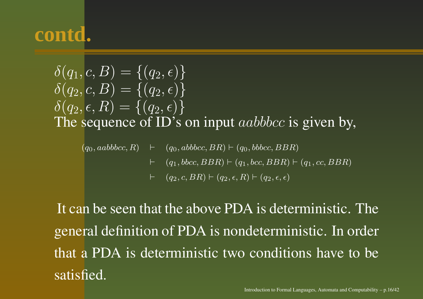$\delta(q_1, c, B) = \{(q_2, \epsilon)\}\;$  $\delta(q_2, c, B) = \{ (q_2, \epsilon) \}$  $\delta(q_2,\epsilon,R) = \{(q_2,\epsilon)\}\$ The sequence of ID's on input  $aabbbcc$  is given by,

 $(q_0, aabbbcc, R) \quad \vdash \quad (q_0, abbbcc, BR) \vdash (q_0, bbbcc, BBR)$  $\vdash$  $(q_1, bbcc, BBR) \vdash (q_1, bcc, BBR) \vdash (q_1, cc, BBR)$  $\begin{array}{ll} \leftarrow & (q_2, c, BR) \vdash (q_2, \epsilon, R) \vdash (q_2, \epsilon, \epsilon) \end{array}$ 

It can be seen that the above PDA is deterministic. The general definition of PDA is nondeterministic. In order that a PDA is deterministic two conditions have to be satisfied.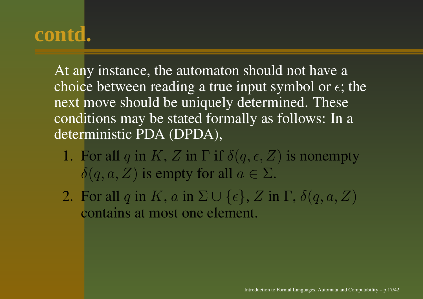At any instance, the automaton should not have <sup>a</sup> choice between reading a true input symbol or  $\epsilon$ ; the next move should be uniquely determined. These conditions may be stated formally as follows: In <sup>a</sup> deterministic PDA (DPDA),

- 1. For all q in K, Z in  $\Gamma$  if  $\delta(q,\epsilon,Z)$  is nonempty  $\delta(q, a, Z)$  is empty for all  $a \in \Sigma$ .
- 2. For all  $q$  in  $K,$   $a$  in  $\Sigma\cup\{\epsilon\},$   $Z$  in  $\Gamma,$   $\delta(q,a,Z)$ contains at most one element.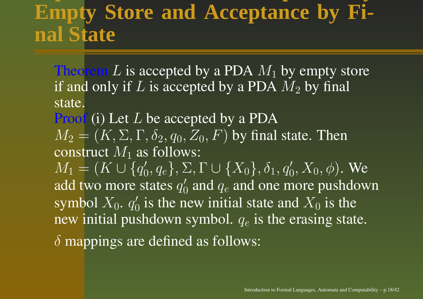## **Empty Store and Acceptance by Final State**

Theorem  $L$  is accepted by a PDA  $M_1$  by empty store if and only if  $L$  is accepted by a PDA  $M_2$  by final state.

**Proof** (i) Let  $L$  be accepted by a PDA  $M_2=(K,\Sigma,\Gamma,\delta_2,q_0,Z_0,F)$  by final state. Then construct  $M_1$  as follows:

 $M_1 = (K \cup \{q_0', q_e\}, \Sigma, \Gamma \cup \{X_0\}, \delta_1, q_0', X_0, \phi).$  We add two more states  $q_0^\prime$  and  $q_e$  and one more pushdown symbol  $X_0.$   $q_0^\prime$  is the new initial state and  $X_0$  is the new initial pushdown symbol.  $q_e$  is the erasing state.  $\delta$  mappings are defined as follows: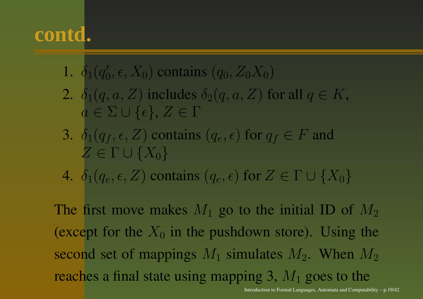- 1.  $\delta_1(q_0,\epsilon, X_0)$  contains  $(q_0,Z_0X_0)$
- 2.  $\delta_1(q, a, Z)$  includes  $\delta_2(q, a, Z)$  for all  $q \in K$ ,  $a\in\Sigma\cup\{\epsilon\},\,Z\in\Gamma$
- 3.  $\delta_1(q_f, \epsilon, Z)$  contains  $(q_e, \epsilon)$  for  $q_f \in F$  and  $Z\in\Gamma\cup\{X_0\}$
- 4.  $\delta_1(q_e,\epsilon,Z)$  contains  $(q_e,\epsilon)$  for  $Z \in \Gamma \cup \{X_0\}$

The first move makes  $M_1$  go to the initial ID of  $M_2$ (except for the  $X_0$  in the pushdown store). Using the second set of mappings  $M_1$  simulates  $M_2$ . When  $M_2$ reaches a final state using mapping 3,  $M_1$  goes to the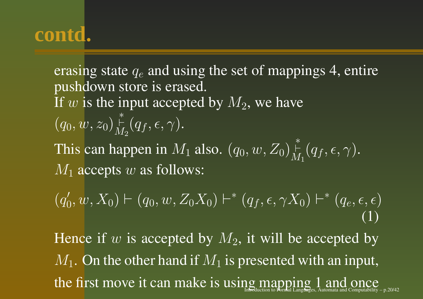erasing state  $q_e$  and using the set of mappings 4, entire pushdown store is erased. If  $w$  is the input accepted by  $M_2$ , we have  $(q_0, w, z_0) \frac{1}{M_2}(q_f, \epsilon, \gamma).$ This cann happen in  $M_1$  also.  $(q_0, w, Z_0) \H_{M_1}^*(q_f, \epsilon, \gamma).$  $M_1$  accepts  $w$  as follows:

 $(q'_0, w, X_0) \vdash (q_0, w, Z_0 X_0) \vdash^* (q_f, \epsilon, \gamma X_0) \vdash^* (q_e, \epsilon, \epsilon)$ (1)

Hence if  $w$  is accepted by  $M_2$ , it will be accepted by  $M_1.$  On the other hand if  $M_1$  is presented with an input, the first move it can make is using mapping  $1$  and once Integral  $\mathop{\rm End}\nolimits_{\mathop{\rm Isb}(\mathcal{H}_{\rm H}(\mathcal{H}_{\rm I})_{\rm A}}$  and  $\mathop{\rm C{OMC}}$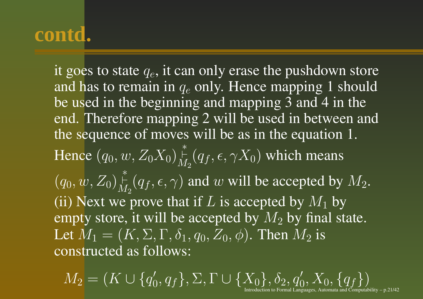it goes to state  $q_e,$  it can only erase the pushdown store and has to remain in  $q_e$  only. Hence mapping 1 should be used in the beginning and mapping 3 and 4 in the end. Therefore mapping 2 will be used in between and the sequence of moves will be as in the equation 1. Hencee  $(q_0, w, Z_0X_0) \nmid\limits_{M_2}^* (q_f, \epsilon, \gamma X_0)$  which means  $(q_0, w, Z_0)_{M_2}^*$   $(q_f, \epsilon, \gamma)$  and w will be accepted by  $M_2$ . (ii) Next we prove that if L is accepted by  $M_1$  by empty store, it will be accepted by  $M_2$  by final state. Let  $M_1=(K,\Sigma,\Gamma,\delta_1,q_0,Z_0,\phi).$  Then  $M_2$  is constructed as follows:

 $M_2 = (K \cup \{q_0', q_f\}, \Sigma, \Gamma \cup \{X_0\}, \delta_2, q_0', X_0, \{q_f\})$ Introduction to Formal Languages, Automata and Computability – p.21/42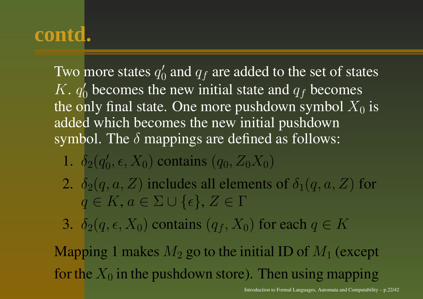Two more states  $q_0^\prime$  and  $q_f$  are added to the set of states  $K. q'_0$  becomes the new initial state and  $q_f$  becomes the only final state. One more pushdown symbol  $X_0$  is added which becomes the new initial pushdown symbol. The  $\delta$  mappings are defined as follows:

1.  $\delta_2(q_0,\epsilon,X_0)$  contains  $(q_0,Z_0X_0)$ 

- 2.  $\delta_2(q, a, Z)$  includes all elements of  $\delta_1(q, a, Z)$  for  $q \in K, a \in \Sigma \cup \{\epsilon\}, Z \in \Gamma$
- 3.  $\delta_2(q,\epsilon, X_0)$  contains  $(q_f, X_0)$  for each  $q \in K$

Mapping 1 makes  $M_2$  go to the initial ID of  $M_1$  (except for the  $X_0$  in the pushdown store). Then using mapping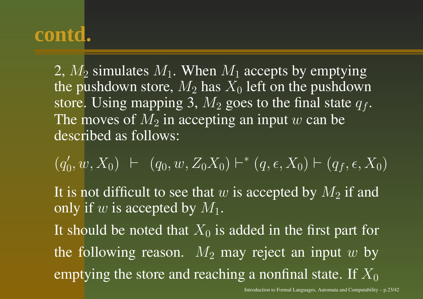2,  $M_2$  simulates  $M_1$ . When  $M_1$  accepts by emptying the pushdown store,  $M_2$  has  $X_0$  left on the pushdown store. Using mapping 3,  $M_2$  goes to the final state  $q_f$ . The moves of  $M_2$  in accepting an input  $w$  can be described as follows:

 $(q'_0, w, X_0) \vdash (q_0, w, Z_0X_0) \vdash^* (q, \epsilon, X_0) \vdash (q_f, \epsilon, X_0)$ It is not difficult to see that  $w$  is accepted by  $M_2$  if and only if w is accepted by  $M_1$ . It should be noted that  $X_0$  is added in the first part for the following reason.  $M_2$  may reject an input  $w$  by emptying the store and reaching a nonfinal state. If  $X_0$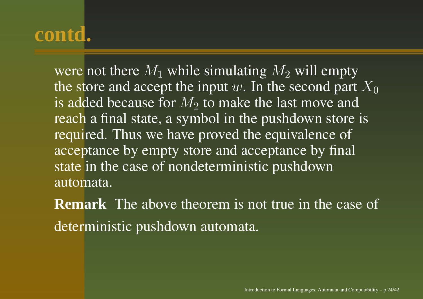were not there  $M_1$  while simulating  $M_2$  will empty the store and accept the input  $w.$  In the second part  $X_0$ is added because for  $M_2$  to make the last move and reach <sup>a</sup> final state, <sup>a</sup> symbol in the pushdown store is required. Thus we have proved the equivalence of acceptance by empty store and acceptance by final state in the case of nondeterministic pushdown automata.

**Remark** The above theorem is not true in the case of deterministic pushdown automata.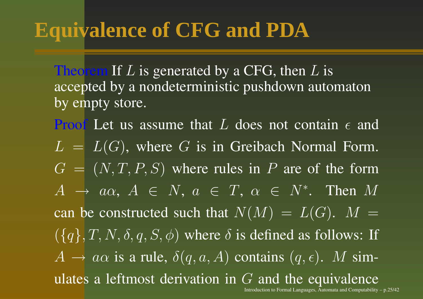## **Equivalence of CFG and PDA**

Theorem If  $L$  is generated by a CFG, then  $L$  is accepted by <sup>a</sup> nondeterministic pushdown automaton by empty store.

**Proof** Let us assume that L does not contain  $\epsilon$  and  $L = L(G)$ , where G is in Greibach Normal Form.  $G = (N, T, P, S)$  where rules in P are of the form  $A \rightarrow a\alpha$ ,  $A \in N$ ,  $a \in T$ ,  $\alpha \in N^*$ . Then  $M$ can be constructed such that  $N(M) \,=\, L(G).$   $\,M \,=\,$  $(\lbrace q \rbrace, T, N, \delta, q, S, \phi)$  where  $\delta$  is defined as follows: If  $A \rightarrow a\alpha$  is a rule,  $\delta(q, a, A)$  contains  $(q, \epsilon)$ . M simulates a leftmost derivation in  $G$  and the equivalence Introduction to Formal Languages, Automata and Computability – p.25/42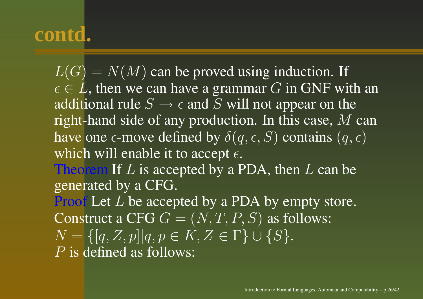$L(G) = N(M)$  can be proved using induction. If  $\epsilon \in L$ , then we can have a grammar  $G$  in GNF with an additional rule  $S \to \epsilon$  and  $S$  will not appear on the right-hand side of any production. In this case,  $\overline{M}$  can have one  $\epsilon\text{-move}$  defined by  $\delta(q,\epsilon,S)$  contains  $(q,\epsilon)$ which will enable it to accept  $\epsilon.$ Theorem If  $L$  is accepted by a PDA, then  $L$  can be generated by <sup>a</sup> CFG. **Proof** Let L be accepted by a PDA by empty store. Construct a CFG  $G=(N,T,P,S)$  as follows:  $N = \{[q, Z, p]|q, p \in K, Z \in \Gamma\} \cup \{S\}.$ P is defined as follows: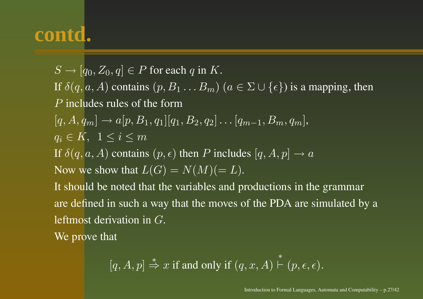$S \to [q_0, Z_0, q] \in P$  for each q in K. If  $\delta(q, a, A)$  contains  $(p, B_1 \dots B_m)$   $(a \in \Sigma \cup \{\epsilon\})$  is a mapping, then P includes rules of the form  $[q, A, q_m] \rightarrow a[p, B_1, q_1][q_1, B_2, q_2] \dots [q_{m-1}, B_m, q_m],$  $q_i \in K$ ,  $1 \leq i \leq m$ If  $\delta(q,a,A)$  contains  $(p,\epsilon)$  then P includes  $[q,A,p] \to a$ Now we show that  $L(G) = N(M) (= L)$ . It should be noted that the variables and productions in the grammar are defined in such <sup>a</sup> way that the moves of the PDA are simulated by <sup>a</sup> leftmost derivation in  $G$ . We prove that

$$
[q, A, p] \stackrel{*}{\Rightarrow} x
$$
 if and only if  $(q, x, A) \stackrel{*}{\vdash} (p, \epsilon, \epsilon)$ .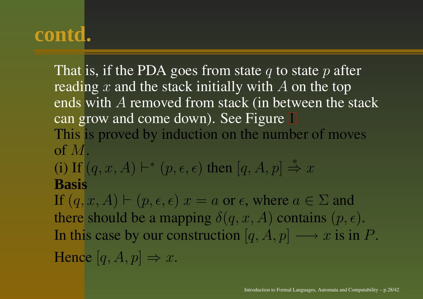That is, if the PDA goes from state  $q$  to state  $p$  after reading x and the stack initially with A on the top ends with  $A$  removed from stack (in between the stack can grow and come down). See Fig[ure](#page-28-0) 1 This is proved by induction on the number of moves of M.

(i) If  $(q, x, A) \vdash^* (p, \epsilon, \epsilon)$  then  $[q, A, p] \stackrel{*}{\Rightarrow} x$ **Basis**

If  $(q, x, A) \vdash (p, \epsilon, \epsilon)$   $x = a$  or  $\epsilon$ , where  $a \in \Sigma$  and there should be a mapping  $\delta(q, x, A)$  contains  $(p, \epsilon)$ . In this case by our construction  $[q, A, p] \longrightarrow x$  is in  $P.$ Hence  $[q, A, p] \Rightarrow x$ .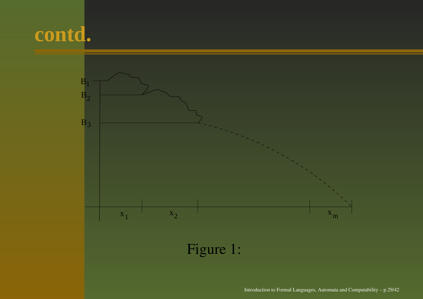<span id="page-28-0"></span>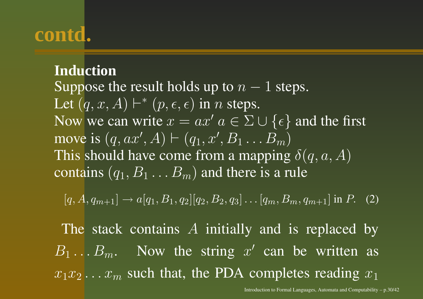#### <span id="page-29-0"></span>**Induction**

Suppose the result holds up to  $n-1$  steps. Let  $(q, x, A) \vdash^{*} (p, \epsilon, \epsilon)$  in  $n$  steps. Now we can write  $x = ax'$   $a \in \Sigma \cup \{\epsilon\}$  and the first move is  $(q, ax', A) \vdash (q_1, x', B_1 \ldots B_m)$ This should have come from a mapping  $\delta(q,a,A)$ contains  $(q_1, B_1 \ldots B_m)$  and there is a rule

 $[q, A, q_{m+1}] \rightarrow a[q_1, B_1, q_2][q_2, B_2, q_3] \dots [q_m, B_m, q_{m+1}]$  in P. (2)

The stack contains  $A$  initially and is replaced by  $B_1 \dots B_m$ . Now the string  $x'$  can be written as  $x_1x_2...x_m$  such that, the PDA completes reading  $x_1$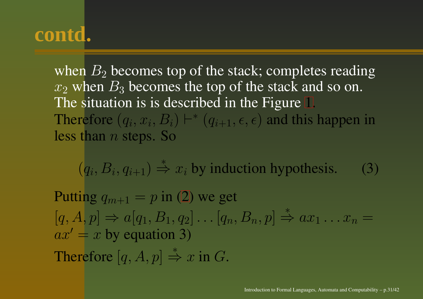when  $B_2$  becomes top of the stack; completes reading  $x_2$  when  $B_3$  becomes the top of the stack and so on. The situation is is described in the Fig[ure](#page-28-0) 1. Therefore  $(q_i, x_i, B_i) \vdash^* (q_{i+1}, \epsilon, \epsilon)$  and this happen in less than  $n$  steps. So

 $(q_i, B_i, q_{i+1}) \stackrel{*}{\Rightarrow} x_i$  by induction hypothesis. (3)

Putt[in](#page-29-0)g  $q_{m+1} = p$  in (2) we get  $[q, \overline{A}, p] \Rightarrow a[q_1, B_1, q_2] \dots [q_n, B_n, p] \stackrel{*}{\Rightarrow} ax_1 \dots x_n =$  $ax' = x$  by equation 3) Therefore  $[q, A, p] \stackrel{*}{\Rightarrow} x$  in G.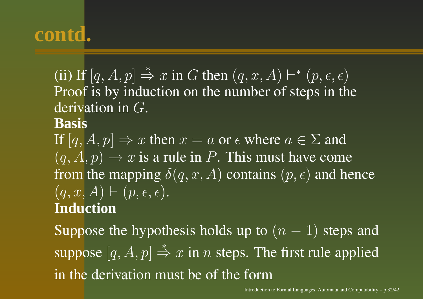(ii) If  $[q, A, p] \stackrel{*}{\Rightarrow} x$  in G then  $(q, x, A) \vdash^{*} (p, \epsilon, \epsilon)$ Proof is by induction on the number of steps in the derivation in G.

#### **Basis**

If  $[q, A, p] \Rightarrow x$  then  $x = a$  or  $\epsilon$  where  $a \in \Sigma$  and  $\overline{(q, A, p)} \rightarrow x$  is a rule in P. This must have come from the mapping  $\delta(q,x,A)$  contains  $(p,\epsilon)$  and hence  $(q, x, A) \vdash (p, \epsilon, \epsilon).$ **Induction**

Suppose the hypothesis holds up to  $(n - 1)$  steps and suppose  $[q, A, p] \stackrel{*}{\Rightarrow} x$  in *n* steps. The first rule applied in the derivation must be of the form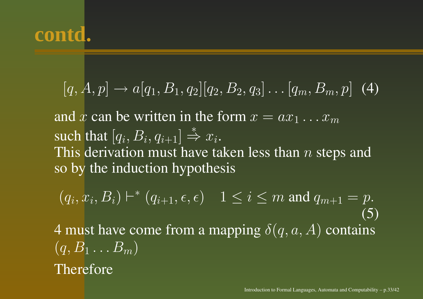$$
[q, A, p] \rightarrow a[q_1, B_1, q_2][q_2, B_2, q_3] \dots [q_m, B_m, p] \tag{4}
$$

and  $x$  can be written in the form  $x = ax_1 \dots x_m$ such that  $[q_i, B_i, q_{i+1}] \overset{*}{\Rightarrow} x_i.$ This derivation must have taken less than  $n$  steps and so by the induction hypothesis

 $(q_i, x_i, B_i) \vdash^* (q_{i+1}, \epsilon, \overline{\epsilon}) \quad 1 \leq i \leq m$  and  $q_{m+1} = p$ . (5) 4 must have come from a mapping  $\delta(q,a,A)$  contains  $(q, B_1 \ldots B_m)$ Therefore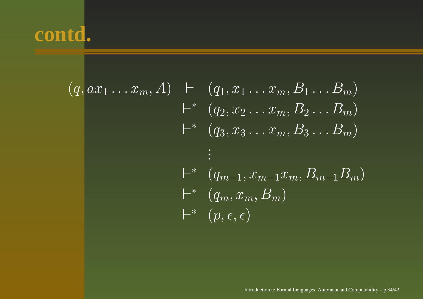$$
(q, ax_1...x_m, A) \quad \vdash \quad (q_1, x_1...x_m, B_1...B_m)
$$
  
\n
$$
\vdash^* \quad (q_2, x_2...x_m, B_2...B_m)
$$
  
\n
$$
\vdash^* \quad (q_3, x_3...x_m, B_3...B_m)
$$
  
\n
$$
\vdots
$$
  
\n
$$
\vdash^* \quad (q_{m-1}, x_{m-1}x_m, B_{m-1}B_m)
$$
  
\n
$$
\vdash^* \quad (q_m, x_m, B_m)
$$
  
\n
$$
\vdash^* \quad (p, \epsilon, \epsilon)
$$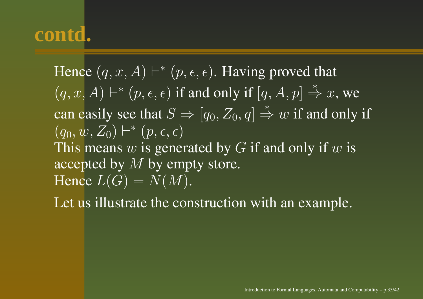Hence  $(q, x, A) \vdash^{*} (p, \epsilon, \epsilon)$ . Having proved that  $\overline{(q, x, A)} \vdash^* (\overline{p}, \epsilon, \epsilon)$  if and only if  $\overline{[q, A, p]} \stackrel{*}{\Rightarrow} x$ , we can easily see that  $S \Rightarrow [q_0, Z_0, q] \stackrel{*}{\Rightarrow} w$  if and only if  $(q_0, w, Z_0) \vdash^* (p,\epsilon,\epsilon)$ This means  $w$  is generated by  $G$  if and only if  $w$  is accepted by M by empty store. Hence  $L(G) = N(M).$ 

Let us illustrate the construction with an example.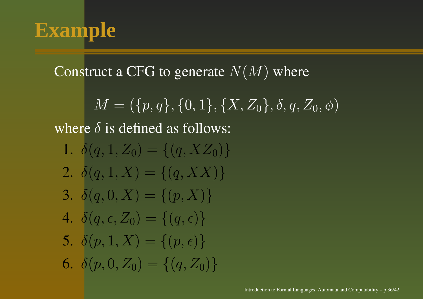

#### Construct a CFG to generate  $N(M)$  where

$$
M = (\{p, q\}, \{0, 1\}, \{X, Z_0\}, \delta, q, Z_0, \phi)
$$

where  $\delta$  is defined as follows:

1.  $\delta(q, 1, Z_0) = \{(q, XZ_0)\}\$ 2.  $\delta(q, 1, X) = \{(q, XX)\}\$ 3.  $\delta(q, 0, X) = \{(p, X)\}\$ 4.  $\delta(q,\epsilon,Z_0) = \{(q,\epsilon)\}\$ 5.  $\delta(p, 1, X) = \{(p, \epsilon)\}\$ 6.  $\delta(p, 0, Z_0) = \{(q, Z_0)\}\$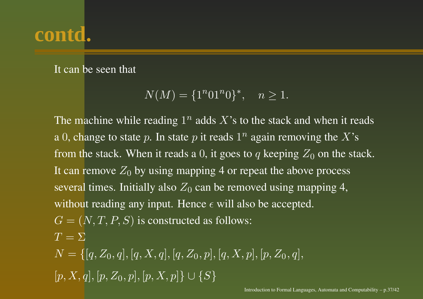It can be seen that

$$
N(M) = \{1^n 01^n 0\}^*, \quad n \ge 1.
$$

The machine while reading  $1^n$  adds  $X$ 's to the stack and when it reads a 0, change to state  $p.$  In state  $p$  it reads  $1^n$  again removing the  $X$ 's from the stack. When it reads a 0, it goes to  $q$  keeping  $Z_0$  on the stack. It can remove  $Z_0$  by using mapping 4 or repeat the above process several times. Initially also  $Z_0$  can be removed using mapping 4, without reading any input. Hence  $\epsilon$  will also be accepted.  $G = (N, T, P, S)$  is constructed as follows:  $T=\Sigma$  $N = \{[q, Z_0, q], [q, X, q], [q, Z_0, p], [q, X, p], [p, Z_0, q],\}$  $[p, X, q], [p, Z_0, p], [p, X, p] \cup \{S\}$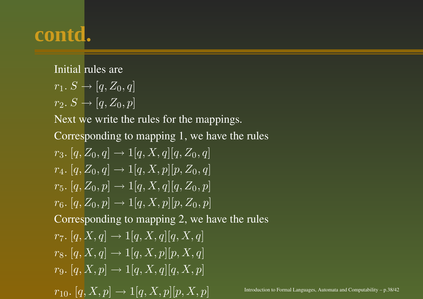Initial rules are

$$
r_1 \colon S \to [q, Z_0, q]
$$

 $r_2$ ,  $S \rightarrow [q, Z_0, p]$ 

Next we write the rules for the mappings.

Corresponding to mapping 1, we have the rules

 $r_3. [q, Z_0, q] \rightarrow 1[q, X, q][q, Z_0, q]$  $r_4$ . [q, Z<sub>0</sub>, q]  $\rightarrow 1[q, X, p][p, Z_0, q]$  $r_5. [q, Z_0, p] \rightarrow 1[q, X, q][q, Z_0, p]$  $r_6$ .  $[q, Z_0, p] \to 1[q, X, p][p, Z_0, p]$ 

Corresponding to mapping 2, we have the rules

 $r_7. [q, X, q] \to 1[q, X, q][q, X, q]$  $r_8. [q, X, q] \to 1[q, X, p][p, X, q]$  $r_9. [q, X, p] \to 1[q, X, q][q, X, p]$ 

 $r_{10}.~[q,X,p] \rightarrow 1[q,X,p][p,X,p] \qquad \qquad \hbox{\tiny Introduction to Formal Languages, Automata and Computability - p.38/42}$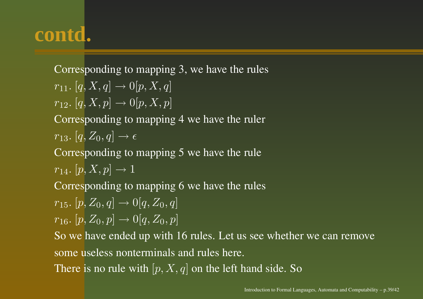Corresponding to mapping 3, we have the rules  $r_{11}$ .  $[q, X, q] \rightarrow 0[p, X, q]$  $r_{12}. [q, X, p] \rightarrow 0[p, X, p]$ Corresponding to mapping 4 we have the ruler  $\overline{r}_{13}.$   $\overline{[q,Z_0,q]} \rightarrow \epsilon$ Corresponding to mapping 5 we have the rule  $r_{14}. [p, X, p] \to 1$ Corresponding to mapping 6 we have the rules  $r_{15}. [p, Z_0, q] \rightarrow 0 [q, Z_0, q]$  $r_{16}. [p, Z_0, p] \rightarrow 0 [q, Z_0, p]$ So we have ended up with 16 rules. Let us see whether we can remove some useless nonterminals and rules here. There is no rule with  $[p, X, q]$  on the left hand side. So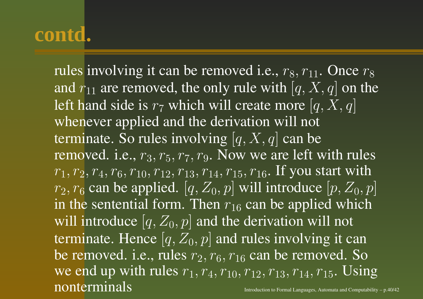rules involving it can be removed i.e.,  $r_8, r_{11}.$  Once  $r_8$ and  $r_{11}$  are removed, the only rule with  $\left[q,X,q\right]$  on the left hand side is  $r_7$  which will create more  $\left[q,X,q\right]$ whenever applied and the derivation will not terminate. So rules involving  $[q,X,q]$  can be removed. i.e.,  $r_3$ ,  $r_5$ ,  $r_7$ ,  $r_9$ . Now we are left with rules  $r_1, r_2, r_4, r_6, r_{10}, r_{12}, r_{13}, r_{14}, r_{15}, r_{16}.$  If you start with  $r_2, r_6$  can be applied.  $[q, Z_0, p]$  will introduce  $[p, Z_0, p]$ in the sentential form. Then  $r_{16}$  can be applied which will introduce  $[q,Z_0,p]$  and the derivation will not terminate. Hence  $[q, Z_0, p]$  and rules involving it can be removed. i.e., rules  $r_2, r_6, r_{16}$  can be removed. So we end up with rules  $r_1, r_4, r_{10}, r_{12}, r_{13}, r_{14}, r_{15}$ . Using nonterminalsIntroduction to Formal Languages, Automata and Computability – p.40/42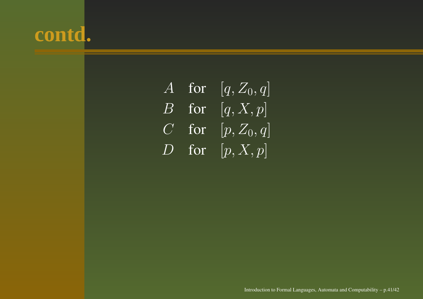|          | A for   | $\overline{[q,Z_0,q]}$ |
|----------|---------|------------------------|
| $\bm{B}$ | for     | [q, X, p]              |
|          | $C$ for | $[p, Z_0, q]$          |
| $D^1$    | for     | [p, X, p]              |